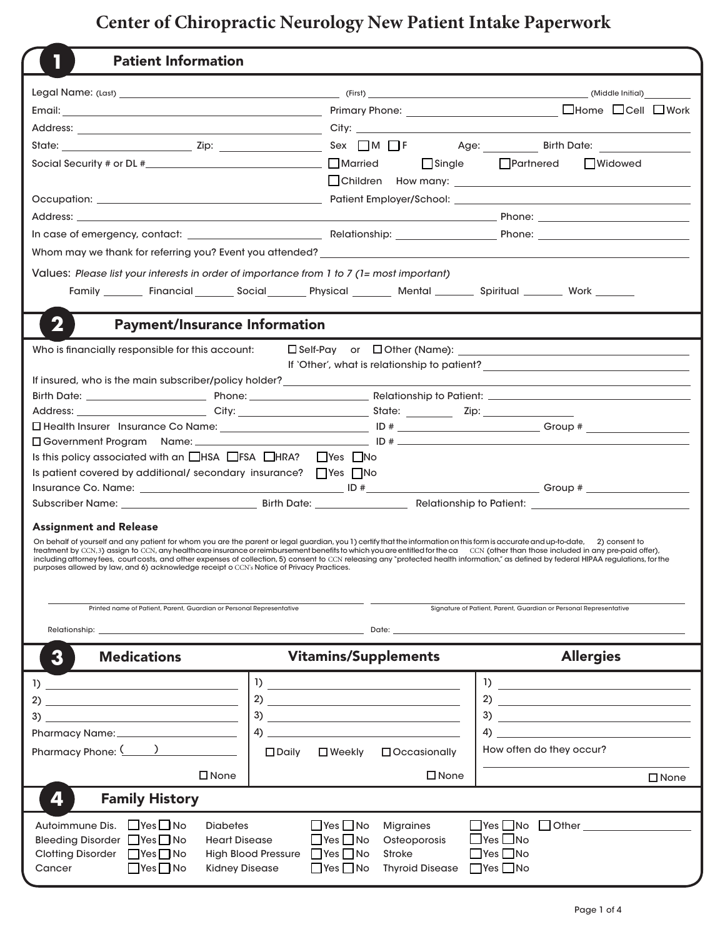## **Center of Chiropractic Neurology New Patient Intake Paperwork**

| <b>Patient Information</b>                                                                                                                                                                                                                                                                                          |                                                                                                                                                                                                                                                                                                                                                                                                                                                                                                                                                                  |                                                                                                                                                                                                                                                                                                                     |
|---------------------------------------------------------------------------------------------------------------------------------------------------------------------------------------------------------------------------------------------------------------------------------------------------------------------|------------------------------------------------------------------------------------------------------------------------------------------------------------------------------------------------------------------------------------------------------------------------------------------------------------------------------------------------------------------------------------------------------------------------------------------------------------------------------------------------------------------------------------------------------------------|---------------------------------------------------------------------------------------------------------------------------------------------------------------------------------------------------------------------------------------------------------------------------------------------------------------------|
|                                                                                                                                                                                                                                                                                                                     |                                                                                                                                                                                                                                                                                                                                                                                                                                                                                                                                                                  |                                                                                                                                                                                                                                                                                                                     |
|                                                                                                                                                                                                                                                                                                                     |                                                                                                                                                                                                                                                                                                                                                                                                                                                                                                                                                                  |                                                                                                                                                                                                                                                                                                                     |
|                                                                                                                                                                                                                                                                                                                     |                                                                                                                                                                                                                                                                                                                                                                                                                                                                                                                                                                  |                                                                                                                                                                                                                                                                                                                     |
|                                                                                                                                                                                                                                                                                                                     |                                                                                                                                                                                                                                                                                                                                                                                                                                                                                                                                                                  |                                                                                                                                                                                                                                                                                                                     |
|                                                                                                                                                                                                                                                                                                                     |                                                                                                                                                                                                                                                                                                                                                                                                                                                                                                                                                                  |                                                                                                                                                                                                                                                                                                                     |
|                                                                                                                                                                                                                                                                                                                     | $\Box$ Single                                                                                                                                                                                                                                                                                                                                                                                                                                                                                                                                                    | $\Box$ Partnered<br><b>□Widowed</b>                                                                                                                                                                                                                                                                                 |
|                                                                                                                                                                                                                                                                                                                     |                                                                                                                                                                                                                                                                                                                                                                                                                                                                                                                                                                  |                                                                                                                                                                                                                                                                                                                     |
|                                                                                                                                                                                                                                                                                                                     |                                                                                                                                                                                                                                                                                                                                                                                                                                                                                                                                                                  |                                                                                                                                                                                                                                                                                                                     |
|                                                                                                                                                                                                                                                                                                                     | Address: Phone: Phone: Phone: Phone: Phone: Phone: Phone: Phone: Phone: Phone: Phone: Phone: Phone: Phone: Phone: Phone: Phone: Phone: Phone: Phone: Phone: Phone: Phone: Phone: Phone: Phone: Phone: Phone: Phone: Phone: Pho                                                                                                                                                                                                                                                                                                                                   |                                                                                                                                                                                                                                                                                                                     |
|                                                                                                                                                                                                                                                                                                                     |                                                                                                                                                                                                                                                                                                                                                                                                                                                                                                                                                                  |                                                                                                                                                                                                                                                                                                                     |
|                                                                                                                                                                                                                                                                                                                     |                                                                                                                                                                                                                                                                                                                                                                                                                                                                                                                                                                  |                                                                                                                                                                                                                                                                                                                     |
| Values: Please list your interests in order of importance from 1 to 7 (1= most important)                                                                                                                                                                                                                           |                                                                                                                                                                                                                                                                                                                                                                                                                                                                                                                                                                  |                                                                                                                                                                                                                                                                                                                     |
|                                                                                                                                                                                                                                                                                                                     | Family ________ Financial ________ Social ________ Physical ________ Mental ________ Spiritual ________ Work _______                                                                                                                                                                                                                                                                                                                                                                                                                                             |                                                                                                                                                                                                                                                                                                                     |
|                                                                                                                                                                                                                                                                                                                     |                                                                                                                                                                                                                                                                                                                                                                                                                                                                                                                                                                  |                                                                                                                                                                                                                                                                                                                     |
| 2<br><b>Payment/Insurance Information</b>                                                                                                                                                                                                                                                                           |                                                                                                                                                                                                                                                                                                                                                                                                                                                                                                                                                                  |                                                                                                                                                                                                                                                                                                                     |
| Who is financially responsible for this account:                                                                                                                                                                                                                                                                    |                                                                                                                                                                                                                                                                                                                                                                                                                                                                                                                                                                  |                                                                                                                                                                                                                                                                                                                     |
|                                                                                                                                                                                                                                                                                                                     |                                                                                                                                                                                                                                                                                                                                                                                                                                                                                                                                                                  | If 'Other', what is relationship to patient? ___________________________________                                                                                                                                                                                                                                    |
|                                                                                                                                                                                                                                                                                                                     | If insured, who is the main subscriber/policy holder?<br><u>Lettin and the main subscriber/policy holder?</u>                                                                                                                                                                                                                                                                                                                                                                                                                                                    |                                                                                                                                                                                                                                                                                                                     |
|                                                                                                                                                                                                                                                                                                                     |                                                                                                                                                                                                                                                                                                                                                                                                                                                                                                                                                                  |                                                                                                                                                                                                                                                                                                                     |
|                                                                                                                                                                                                                                                                                                                     |                                                                                                                                                                                                                                                                                                                                                                                                                                                                                                                                                                  |                                                                                                                                                                                                                                                                                                                     |
|                                                                                                                                                                                                                                                                                                                     |                                                                                                                                                                                                                                                                                                                                                                                                                                                                                                                                                                  |                                                                                                                                                                                                                                                                                                                     |
|                                                                                                                                                                                                                                                                                                                     |                                                                                                                                                                                                                                                                                                                                                                                                                                                                                                                                                                  |                                                                                                                                                                                                                                                                                                                     |
| Is this policy associated with an $\Box$ HSA $\Box$ FSA $\Box$ HRA? $\Box$ Yes $\Box$ No                                                                                                                                                                                                                            |                                                                                                                                                                                                                                                                                                                                                                                                                                                                                                                                                                  |                                                                                                                                                                                                                                                                                                                     |
| Is patient covered by additional/ secondary insurance? TYes TNo                                                                                                                                                                                                                                                     |                                                                                                                                                                                                                                                                                                                                                                                                                                                                                                                                                                  |                                                                                                                                                                                                                                                                                                                     |
|                                                                                                                                                                                                                                                                                                                     |                                                                                                                                                                                                                                                                                                                                                                                                                                                                                                                                                                  |                                                                                                                                                                                                                                                                                                                     |
|                                                                                                                                                                                                                                                                                                                     |                                                                                                                                                                                                                                                                                                                                                                                                                                                                                                                                                                  |                                                                                                                                                                                                                                                                                                                     |
| <b>Assignment and Release</b>                                                                                                                                                                                                                                                                                       |                                                                                                                                                                                                                                                                                                                                                                                                                                                                                                                                                                  |                                                                                                                                                                                                                                                                                                                     |
| purposes allowed by law, and 6) acknowledge receipt o CCN's Notice of Privacy Practices.                                                                                                                                                                                                                            | On behalf of yourself and any patient for whom you are the parent or legal guardian, you 1) certify that the information on this form is accurate and up-to-date, 2) consent to<br>treatment by CCN,3) assign to CCN, any healthcare insurance or reimbursement benefits to which you are entitled for the ca CCN (other than those included in any pre-paid offer),<br>including attorney fees, court costs, and other expenses of collection, 5) consent to CCN releasing any "protected health information," as defined by federal HIPAA regulations, for the |                                                                                                                                                                                                                                                                                                                     |
| Printed name of Patient, Parent, Guardian or Personal Representative                                                                                                                                                                                                                                                |                                                                                                                                                                                                                                                                                                                                                                                                                                                                                                                                                                  | Signature of Patient, Parent, Guardian or Personal Representative                                                                                                                                                                                                                                                   |
|                                                                                                                                                                                                                                                                                                                     |                                                                                                                                                                                                                                                                                                                                                                                                                                                                                                                                                                  |                                                                                                                                                                                                                                                                                                                     |
| Relationship: the contract of the contract of the contract of the contract of the contract of the contract of the contract of the contract of the contract of the contract of the contract of the contract of the contract of                                                                                       |                                                                                                                                                                                                                                                                                                                                                                                                                                                                                                                                                                  | Date: the contract of the contract of the contract of the contract of the contract of the contract of the contract of the contract of the contract of the contract of the contract of the contract of the contract of the cont                                                                                      |
| <b>Medications</b><br>3                                                                                                                                                                                                                                                                                             | <b>Vitamins/Supplements</b>                                                                                                                                                                                                                                                                                                                                                                                                                                                                                                                                      | <b>Allergies</b>                                                                                                                                                                                                                                                                                                    |
| $\frac{1}{2}$ $\frac{1}{2}$ $\frac{1}{2}$ $\frac{1}{2}$ $\frac{1}{2}$ $\frac{1}{2}$ $\frac{1}{2}$ $\frac{1}{2}$ $\frac{1}{2}$ $\frac{1}{2}$ $\frac{1}{2}$ $\frac{1}{2}$ $\frac{1}{2}$ $\frac{1}{2}$ $\frac{1}{2}$ $\frac{1}{2}$ $\frac{1}{2}$ $\frac{1}{2}$ $\frac{1}{2}$ $\frac{1}{2}$ $\frac{1}{2}$ $\frac{1}{2}$ | $\frac{1}{2}$ $\frac{1}{2}$ $\frac{1}{2}$ $\frac{1}{2}$ $\frac{1}{2}$ $\frac{1}{2}$ $\frac{1}{2}$ $\frac{1}{2}$ $\frac{1}{2}$ $\frac{1}{2}$ $\frac{1}{2}$ $\frac{1}{2}$ $\frac{1}{2}$ $\frac{1}{2}$ $\frac{1}{2}$ $\frac{1}{2}$ $\frac{1}{2}$ $\frac{1}{2}$ $\frac{1}{2}$ $\frac{1}{2}$ $\frac{1}{2}$ $\frac{1}{2}$                                                                                                                                                                                                                                              | $\frac{1}{2}$ $\frac{1}{2}$ $\frac{1}{2}$ $\frac{1}{2}$ $\frac{1}{2}$ $\frac{1}{2}$ $\frac{1}{2}$ $\frac{1}{2}$ $\frac{1}{2}$ $\frac{1}{2}$ $\frac{1}{2}$ $\frac{1}{2}$ $\frac{1}{2}$ $\frac{1}{2}$ $\frac{1}{2}$ $\frac{1}{2}$ $\frac{1}{2}$ $\frac{1}{2}$ $\frac{1}{2}$ $\frac{1}{2}$ $\frac{1}{2}$ $\frac{1}{2}$ |
|                                                                                                                                                                                                                                                                                                                     |                                                                                                                                                                                                                                                                                                                                                                                                                                                                                                                                                                  |                                                                                                                                                                                                                                                                                                                     |
|                                                                                                                                                                                                                                                                                                                     |                                                                                                                                                                                                                                                                                                                                                                                                                                                                                                                                                                  |                                                                                                                                                                                                                                                                                                                     |
|                                                                                                                                                                                                                                                                                                                     | $\left(4\right)$                                                                                                                                                                                                                                                                                                                                                                                                                                                                                                                                                 | $\left( \begin{array}{ccc} 4 \end{array} \right)$                                                                                                                                                                                                                                                                   |
|                                                                                                                                                                                                                                                                                                                     | $\Box$ Daily<br>$\square$ Weekly<br><b>D</b> Occasionally                                                                                                                                                                                                                                                                                                                                                                                                                                                                                                        | How often do they occur?                                                                                                                                                                                                                                                                                            |
|                                                                                                                                                                                                                                                                                                                     |                                                                                                                                                                                                                                                                                                                                                                                                                                                                                                                                                                  |                                                                                                                                                                                                                                                                                                                     |
| $\square$ None                                                                                                                                                                                                                                                                                                      | $\Box$ None                                                                                                                                                                                                                                                                                                                                                                                                                                                                                                                                                      | $\square$ None                                                                                                                                                                                                                                                                                                      |
| <b>Family History</b><br>4                                                                                                                                                                                                                                                                                          |                                                                                                                                                                                                                                                                                                                                                                                                                                                                                                                                                                  |                                                                                                                                                                                                                                                                                                                     |
| Autoimmune Dis. LIYes LINo<br><b>Diabetes</b>                                                                                                                                                                                                                                                                       | $\Box$ Yes $\Box$ No<br><b>Migraines</b>                                                                                                                                                                                                                                                                                                                                                                                                                                                                                                                         | $\Box$ Yes $\Box$ No $\Box$ Other $\Box$                                                                                                                                                                                                                                                                            |
| Bleeding Disorder Yes I No<br><b>Heart Disease</b>                                                                                                                                                                                                                                                                  | $\Box$ Yes $\Box$ No<br>Osteoporosis                                                                                                                                                                                                                                                                                                                                                                                                                                                                                                                             | $\Box$ Yes $\Box$ No                                                                                                                                                                                                                                                                                                |
| Clotting Disorder □ Yes □ No                                                                                                                                                                                                                                                                                        | High Blood Pressure Yes No<br><b>Stroke</b>                                                                                                                                                                                                                                                                                                                                                                                                                                                                                                                      | $\Box$ Yes $\Box$ No                                                                                                                                                                                                                                                                                                |
| Cancer<br>$\Box$ Yes $\Box$ No<br><b>Kidney Disease</b>                                                                                                                                                                                                                                                             | Thyroid Disease ■ Yes ■ No<br>$\Box$ Yes $\Box$ No                                                                                                                                                                                                                                                                                                                                                                                                                                                                                                               |                                                                                                                                                                                                                                                                                                                     |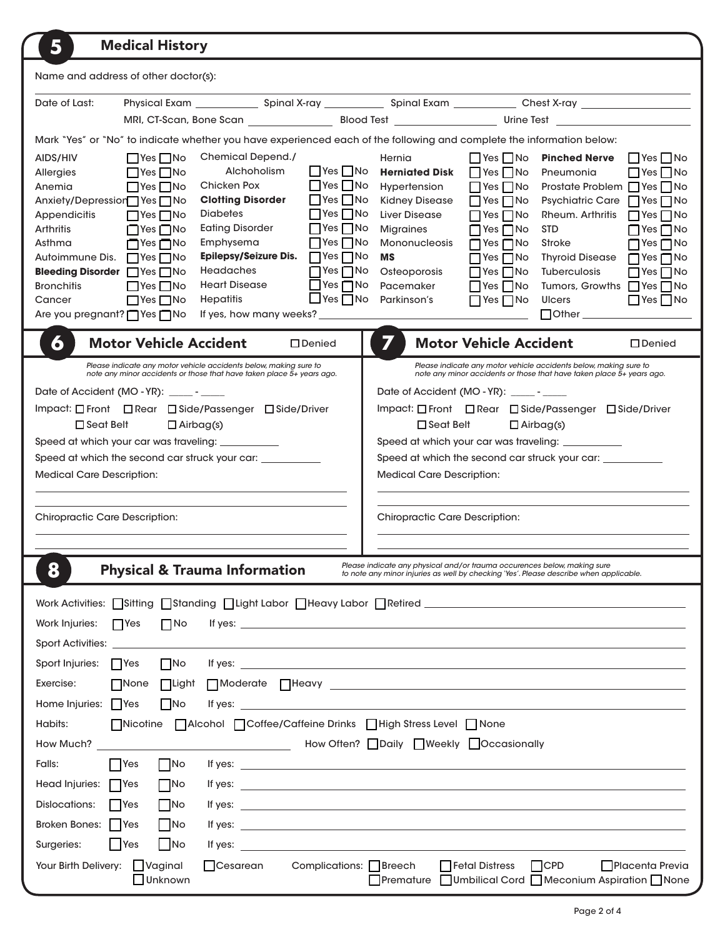| 5<br><b>Medical History</b>                                                                                                                                                                                                                                                                                                                                                                                                                          |
|------------------------------------------------------------------------------------------------------------------------------------------------------------------------------------------------------------------------------------------------------------------------------------------------------------------------------------------------------------------------------------------------------------------------------------------------------|
| Name and address of other doctor(s):                                                                                                                                                                                                                                                                                                                                                                                                                 |
| Date of Last:                                                                                                                                                                                                                                                                                                                                                                                                                                        |
|                                                                                                                                                                                                                                                                                                                                                                                                                                                      |
| Mark "Yes" or "No" to indicate whether you have experienced each of the following and complete the information below:                                                                                                                                                                                                                                                                                                                                |
| Chemical Depend./<br>AIDS/HIV<br>$\Box$ Yes $\Box$ No<br>Hernia<br>$\Box$ Yes $\Box$ No<br><b>Pinched Nerve</b><br>$\Box$ Yes $\Box$ No                                                                                                                                                                                                                                                                                                              |
| Alchoholism<br>   Yes   No<br>$\Box$ Yes $\Box$ No<br><b>Herniated Disk</b><br>$\Box$ Yes $\Box$ No<br>$\Box$ Yes $\Box$ No<br>Pneumonia<br>Allergies<br>$\Box$ Yes $\Box$ No<br>Chicken Pox<br>$\Box$ Yes $\Box$ No<br>Prostate Problem □ Yes □ No<br>Anemia<br>$\Box$ Yes $\Box$ No<br>Hypertension                                                                                                                                                |
| <b>Clotting Disorder</b><br>$\Box$ Yes $\Box$ No<br>Anxiety/Depressior <sup>1</sup> Yes <sup>1</sup> No<br><b>Kidney Disease</b><br>$\Box$ Yes $\Box$ No<br>Psychiatric Care   Yes   No                                                                                                                                                                                                                                                              |
| $\Box$ Yes $\Box$ No<br><b>Diabetes</b><br><b>Liver Disease</b><br>Appendicitis<br>$\Box$ Yes $\Box$ No<br>$\Box$ Yes $\Box$ No<br>Rheum. Arthritis<br>$\Box$ Yes $\Box$ No                                                                                                                                                                                                                                                                          |
| <b>Eating Disorder</b><br>$\Box$ Yes $\Box$ No<br>Arthritis<br>$\Box$ Yes $\Box$ No<br><b>Migraines</b><br>$\Box$ Yes $\Box$ No<br><b>STD</b><br>$\Box$ Yes $\Box$ No<br>$\Box$ Yes $\Box$ No<br>Emphysema<br>Asthma<br>∩Yes∩No<br><b>Mononucleosis</b><br>$\Box$ Yes $\Box$ No<br>Stroke<br>$\Box$ Yes $\Box$ No                                                                                                                                    |
| <b>Epilepsy/Seizure Dis.</b> $\Box$ Yes $\Box$ No<br>Autoimmune Dis. □ Yes □ No<br><b>MS</b><br>$\Box$ Yes $\Box$ No<br>Thyroid Disease □ Yes □ No                                                                                                                                                                                                                                                                                                   |
| <b>Headaches</b><br>$\Box$ Yes $\Box$ No<br>Osteoporosis<br>Bleeding Disorder Ses No<br>$\Box$ Yes $\Box$ No<br>Tuberculosis<br>$\Box$ Yes $\Box$ No<br><b>Heart Disease</b><br>$\Box$ Yes $\Box$ No<br>Pacemaker<br>Tumors, Growths □ Yes □ No<br><b>Bronchitis</b><br>$\Box$ Yes $\Box$ No<br>$\Box$ Yes $\Box$ No                                                                                                                                 |
| $\Box$ Yes $\Box$ No<br>Hepatitis<br>Parkinson's<br>$\Box$ Yes $\Box$ No<br>$\Box$ Yes $\Box$ No<br>$\Box$ Yes $\Box$ No<br><b>Ulcers</b><br>Cancer                                                                                                                                                                                                                                                                                                  |
| Are you pregnant?   Yes   No<br>If yes, how many weeks?<br>$\Box$ Other $\_\_\_\_\_\_\_\_\_\_\_\_\_$                                                                                                                                                                                                                                                                                                                                                 |
| 7<br>6<br><b>Motor Vehicle Accident</b><br><b>Motor Vehicle Accident</b><br>□ Denied<br>□ Denied                                                                                                                                                                                                                                                                                                                                                     |
| Please indicate any motor vehicle accidents below, making sure to<br>Please indicate any motor vehicle accidents below, making sure to<br>note any minor accidents or those that have taken place 5+ years ago.<br>note any minor accidents or those that have taken place 5+ years ago.                                                                                                                                                             |
| Date of Accident (MO - YR): _____ - _____<br>Date of Accident (MO - YR): ______ - _____                                                                                                                                                                                                                                                                                                                                                              |
| Impact: □ Front □ Rear □ Side/Passenger □ Side/Driver<br>Impact: □ Front □ Rear □ Side/Passenger □ Side/Driver<br>$\Box$ Seat Belt<br>$\Box$ Seat Belt                                                                                                                                                                                                                                                                                               |
| $\Box$ Airbag(s)<br>$\Box$ Airbag(s)<br>Speed at which your car was traveling: ___________<br>Speed at which your car was traveling: ___________                                                                                                                                                                                                                                                                                                     |
| Speed at which the second car struck your car: __________<br>Speed at which the second car struck your car: ___________                                                                                                                                                                                                                                                                                                                              |
| <b>Medical Care Description:</b><br><b>Medical Care Description:</b>                                                                                                                                                                                                                                                                                                                                                                                 |
|                                                                                                                                                                                                                                                                                                                                                                                                                                                      |
| <b>Chiropractic Care Description:</b><br><b>Chiropractic Care Description:</b>                                                                                                                                                                                                                                                                                                                                                                       |
|                                                                                                                                                                                                                                                                                                                                                                                                                                                      |
|                                                                                                                                                                                                                                                                                                                                                                                                                                                      |
| Please indicate any physical and/or trauma occurences below, making sure<br><b>Physical &amp; Trauma Information</b><br>О<br>to note any minor injuries as well by checking 'Yes'. Please describe when applicable.                                                                                                                                                                                                                                  |
| Work Activities: Sitting Standing Standing Suite Labor Steary Labor Statised Contract and Control of Activities: N                                                                                                                                                                                                                                                                                                                                   |
| $\Box$ No<br>Work Injuries:<br>$\Box$ Yes<br>If yes: $\overline{\phantom{a}}$                                                                                                                                                                                                                                                                                                                                                                        |
| Sport Activities: _________________                                                                                                                                                                                                                                                                                                                                                                                                                  |
| $\Box$ No<br>Sport Injuries:<br>  Yes                                                                                                                                                                                                                                                                                                                                                                                                                |
| Exercise:<br>None<br>$\Box$ Light                                                                                                                                                                                                                                                                                                                                                                                                                    |
| Home Injuries: Yes<br>$\Box$ No                                                                                                                                                                                                                                                                                                                                                                                                                      |
| □Nicotine □ Alcohol □ Coffee/Caffeine Drinks □ High Stress Level □ None<br>Habits:                                                                                                                                                                                                                                                                                                                                                                   |
| How Often? Daily Weekly Occasionally<br>How Much? _________________<br><u> 1990 - Johann Barbara, m</u>                                                                                                                                                                                                                                                                                                                                              |
| Falls:<br><b>Yes</b><br>$\overline{\phantom{a}}$ No<br>If yes: $\overline{\phantom{a}}$                                                                                                                                                                                                                                                                                                                                                              |
| Head Injuries:<br>$\Box$ No<br>  Yes<br>If yes: $\overline{\phantom{a}}$                                                                                                                                                                                                                                                                                                                                                                             |
| Dislocations:<br>$\vert$ No<br>  Yes<br>If yes: $\frac{1}{\sqrt{1-\frac{1}{2}}\sqrt{1-\frac{1}{2}}\sqrt{1-\frac{1}{2}}\sqrt{1-\frac{1}{2}}\sqrt{1-\frac{1}{2}}\sqrt{1-\frac{1}{2}}\sqrt{1-\frac{1}{2}}\sqrt{1-\frac{1}{2}}\sqrt{1-\frac{1}{2}}\sqrt{1-\frac{1}{2}}\sqrt{1-\frac{1}{2}}\sqrt{1-\frac{1}{2}}\sqrt{1-\frac{1}{2}}\sqrt{1-\frac{1}{2}}\sqrt{1-\frac{1}{2}}\sqrt{1-\frac{1}{2}}\sqrt{1-\frac{1}{2}}\sqrt{1-\frac{1}{2}}\sqrt{1-\frac{1}{$ |
| Broken Bones:   Yes<br>$\vert$ No<br>If yes: $\frac{1}{2}$ if yes:                                                                                                                                                                                                                                                                                                                                                                                   |
| $\overline{\phantom{a}}$ No<br>$ $ Yes<br>Surgeries:<br>If yes: $\frac{1}{2}$ is the set of the set of the set of the set of the set of the set of the set of the set of the set of the set of the set of the set of the set of the set of the set of the set of the set of the set of th                                                                                                                                                            |
| $\Box$ Vaginal<br>Complications: $\Box$ Breech<br>Fetal Distress<br>$\Box$ CPD<br><b>□Placenta Previa</b><br>Your Birth Delivery:<br><b>Cesarean</b><br>Unknown<br>□Premature □Umbilical Cord □Meconium Aspiration □None                                                                                                                                                                                                                             |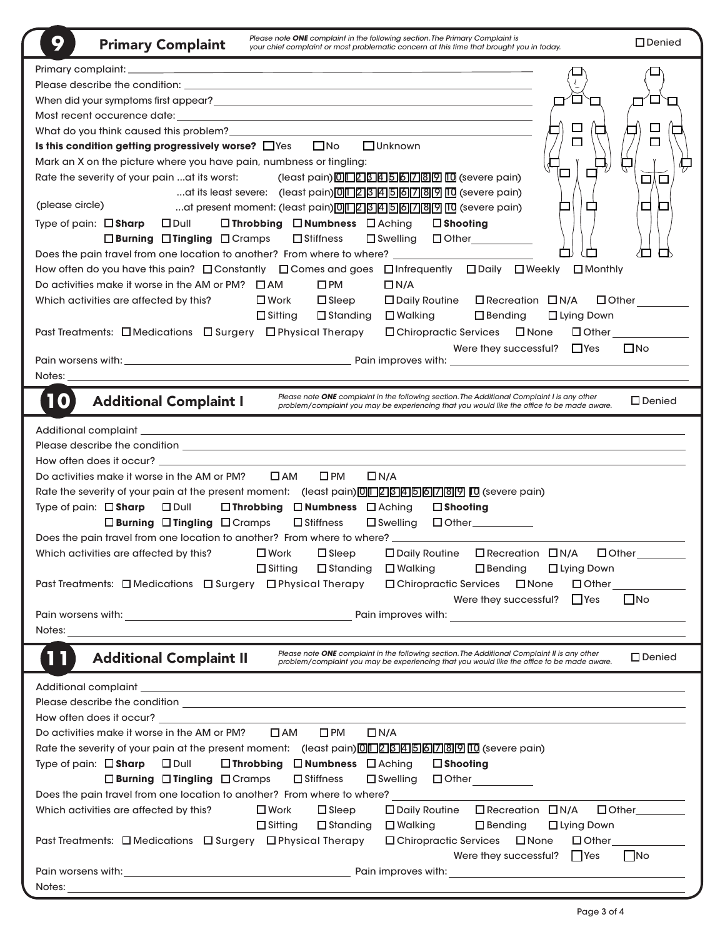| Please note ONE complaint in the following section. The Primary Complaint is<br>9<br><b>Primary Complaint</b><br>your chief complaint or most problematic concern at this time that brought you in today.                                 | $\square$ Denied                    |
|-------------------------------------------------------------------------------------------------------------------------------------------------------------------------------------------------------------------------------------------|-------------------------------------|
|                                                                                                                                                                                                                                           |                                     |
|                                                                                                                                                                                                                                           |                                     |
|                                                                                                                                                                                                                                           |                                     |
|                                                                                                                                                                                                                                           |                                     |
| $\Box$                                                                                                                                                                                                                                    |                                     |
| Is this condition getting progressively worse? OYes ONo OUnknown                                                                                                                                                                          |                                     |
| Mark an X on the picture where you have pain, numbness or tingling:                                                                                                                                                                       |                                     |
| Rate the severity of your pain  at its worst:<br>(least pain) 0   2   3   4   5   6   7   8   9   10 (severe pain)                                                                                                                        | □<br>Г                              |
| at its least severe: (least pain) 0 2 3 4 5 6 7 8 9 10 (severe pain)<br>(please circle)                                                                                                                                                   |                                     |
| at present moment: (least pain) 0   2 3 4 5 6 7 8 9 10 (severe pain)                                                                                                                                                                      |                                     |
| Type of pain: $\square$ <b>Sharp</b> $\square$ Dull<br>□ Throbbing □ Numbness □ Aching<br>$\square$ Shooting                                                                                                                              |                                     |
| $\Box$ Burning $\Box$ Tingling $\Box$ Cramps<br>$\square$ Stiffness<br>□Swelling □ Other__________                                                                                                                                        |                                     |
| Does the pain travel from one location to another? From where to where? _______________<br>How often do you have this pain? □ Constantly □ Comes and goes □ Infrequently □ Daily □ Weekly □ Monthly                                       |                                     |
| Do activities make it worse in the AM or PM? $\Box$ AM<br>$\square$ PM<br>$\Box$ N/A                                                                                                                                                      |                                     |
| $\square$ Sleep<br>□ Daily Routine □ Recreation □ N/A<br>Which activities are affected by this?<br>$\square$ Work                                                                                                                         | $\Box$ Other                        |
| $\Box$ Sitting<br>$\square$ Bending<br>$\square$ Standing<br>$\square$ Walking<br>□ Lying Down                                                                                                                                            |                                     |
| Past Treatments: □ Medications □ Surgery □ Physical Therapy<br>□ Chiropractic Services □ None □ Other                                                                                                                                     |                                     |
| Were they successful? $\Box$ Yes                                                                                                                                                                                                          | $\square$ No                        |
|                                                                                                                                                                                                                                           |                                     |
| Notes:                                                                                                                                                                                                                                    |                                     |
| Please note ONE complaint in the following section. The Additional Complaint I is any other<br><b>Additional Complaint I</b><br>10<br>problem/complaint you may be experiencing that you would like the office to be made aware.          | $\square$ Denied                    |
|                                                                                                                                                                                                                                           |                                     |
|                                                                                                                                                                                                                                           |                                     |
|                                                                                                                                                                                                                                           |                                     |
| $\square$ PM<br>Do activities make it worse in the AM or PM?<br>$\Box$ AM<br>$\Box$ N/A                                                                                                                                                   |                                     |
| Rate the severity of your pain at the present moment: (least pain) <sup>[0][1][2][3][4][5][6][7][8][9][1][3][9][1][3][9][1][3][9][1][3][9][1][3][9][1][3][9][1][3][9][1][3][9][1][3][9][1][3][9][1][3][9][1][3][9][1][3][9][1][3][9</sup> |                                     |
| Type of pain: $\Box$ Sharp $\Box$ Dull<br>□ Throbbing □ Numbness □ Aching<br>$\square$ Shooting                                                                                                                                           |                                     |
| □ Burning □ Tingling □ Cramps □ Stiffness<br>$\square$ Swelling                                                                                                                                                                           |                                     |
| Does the pain travel from one location to another? From where to where? _____________                                                                                                                                                     |                                     |
| Which activities are affected by this? $\square$ Work<br>□ Daily Routine □ Recreation □ N/A<br>$\square$ Sleep                                                                                                                            | $\Box$ Other                        |
| $\Box$ Sitting<br>$\Box$ Standing<br>$\square$ Walking<br>$\square$ Bending<br>$\Box$ Lying Down                                                                                                                                          |                                     |
| Past Treatments: $\Box$ Medications $\Box$ Surgery $\Box$ Physical Therapy<br>$\Box$ Chiropractic Services<br>$\square$ None                                                                                                              | $\Box$ Other $\qquad \qquad \qquad$ |
| Were they successful? $\Box$ Yes                                                                                                                                                                                                          | $\Box$ No                           |
|                                                                                                                                                                                                                                           |                                     |
| Notes:                                                                                                                                                                                                                                    |                                     |
| Please note ONE complaint in the following section. The Additional Complaint II is any other<br>11<br><b>Additional Complaint II</b><br>problem/complaint you may be experiencing that you would like the office to be made aware.        | $\square$ Denied                    |
| Additional complaint experience of the state of the state of the state of the state of the state of the state of the state of the state of the state of the state of the state of the state of the state of the state of the s            |                                     |
| Please describe the condition <b>contract to the condition contract to the condition contract to the condition</b>                                                                                                                        |                                     |
| How often does it occur? The common state of the control of the control of the control of the control of the control of the control of the control of the control of the control of the control of the control of the control             |                                     |
| Do activities make it worse in the AM or PM?<br>$\square$ AM<br>$\square$ PM<br>$\Box N/A$                                                                                                                                                |                                     |
| Rate the severity of your pain at the present moment: (least pain) <sup>[0][1][2][3][4][5][6][7][3][9][10] (severe pain)</sup>                                                                                                            |                                     |
| $\Box$ Throbbing $\Box$ Numbness $\Box$ Aching<br>Type of pain: $\Box$ Sharp<br>$\square$ Dull<br>$\square$ Shooting                                                                                                                      |                                     |
| $\Box$ Burning $\Box$ Tingling $\Box$ Cramps<br>$\Box$ Stiffness<br>$\square$ Swelling<br>$\Box$ Other                                                                                                                                    |                                     |
| Does the pain travel from one location to another? From where to where?                                                                                                                                                                   |                                     |
| □ Recreation □ N/A<br>Which activities are affected by this?<br>$\square$ Work<br>$\Box$ Sleep<br>$\Box$ Daily Routine                                                                                                                    | $\Box$ Other                        |
| $\Box$ Walking<br>$\Box$ Sitting<br>$\Box$ Standing<br>$\Box$ Bending<br>$\Box$ Lying Down                                                                                                                                                |                                     |
| Past Treatments: □ Medications □ Surgery □ Physical Therapy<br>$\Box$ Chiropractic Services $\Box$ None                                                                                                                                   | $\Box$ Other $\Box$                 |
| Were they successful? Yes                                                                                                                                                                                                                 | $\Box$ No                           |
|                                                                                                                                                                                                                                           |                                     |
| Notes:                                                                                                                                                                                                                                    |                                     |